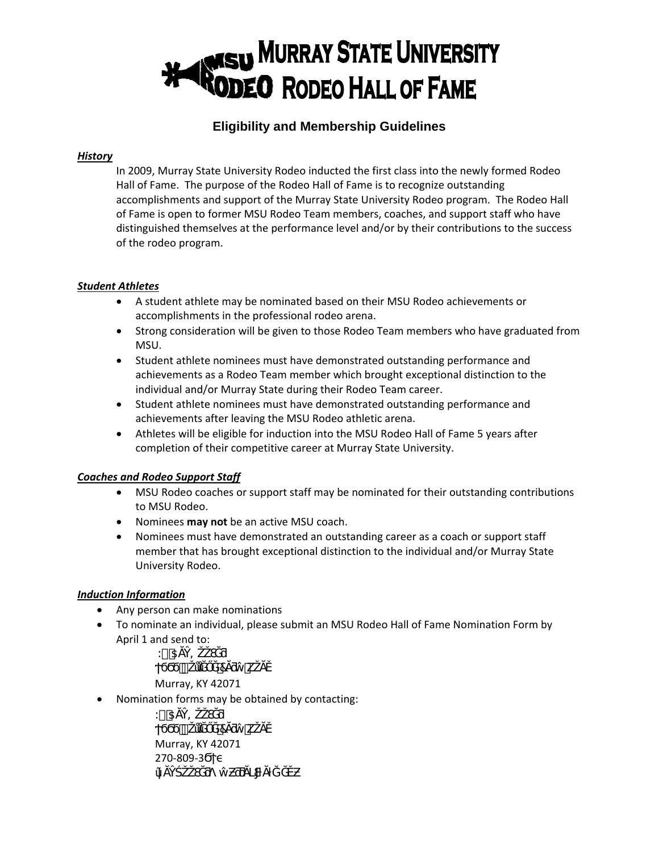## **MURRAY STATE UNIVERSITY ODEO** RODEO HALL OF FAME

### **Eligibility and Membership Guidelines**

#### *History*

In 2009, Murray State University Rodeo inducted the first class into the newly formed Rodeo Hall of Fame. The purpose of the Rodeo Hall of Fame is to recognize outstanding accomplishments and support of the Murray State University Rodeo program. The Rodeo Hall of Fame is open to former MSU Rodeo Team members, coaches, and support staff who have distinguished themselves at the performance level and/or by their contributions to the success of the rodeo program.

#### *Student Athletes*

- A student athlete may be nominated based on their MSU Rodeo achievements or accomplishments in the professional rodeo arena.
- Strong consideration will be given to those Rodeo Team members who have graduated from MSU.
- Student athlete nominees must have demonstrated outstanding performance and achievements as a Rodeo Team member which brought exceptional distinction to the individual and/or Murray State during their Rodeo Team career.
- Student athlete nominees must have demonstrated outstanding performance and achievements after leaving the MSU Rodeo athletic arena.
- Athletes will be eligible for induction into the MSU Rodeo Hall of Fame 5 years after completion of their competitive career at Murray State University.

#### *Coaches and Rodeo Support Staff*

- MSU Rodeo coaches or support staff may be nominated for their outstanding contributions to MSU Rodeo.
- Nominees **may not** be an active MSU coach.
- Nominees must have demonstrated an outstanding career as a coach or support staff member that has brought exceptional distinction to the individual and/or Murray State University Rodeo.

#### *Induction Information*

- Any person can make nominations
- To nominate an individual, please submit an MSU Rodeo Hall of Fame Nomination Form by April 1 and send to:

 $\dot{N}$  † =  $#$  7 k

Murray, KY 42071

• Nomination forms may be obtained by contacting:

 $\dot{M}$  †  $=$  $H$  7 k Murray, KY 42071 270-809-3